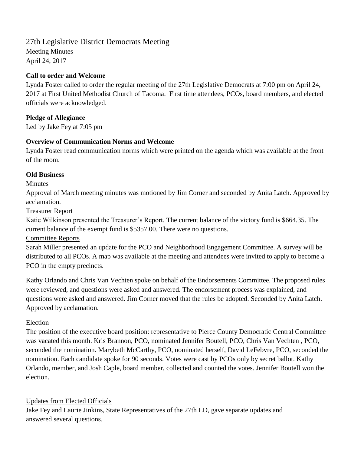# 27th Legislative District Democrats Meeting

Meeting Minutes April 24, 2017

### **Call to order and Welcome**

Lynda Foster called to order the regular meeting of the 27th Legislative Democrats at 7:00 pm on April 24, 2017 at First United Methodist Church of Tacoma. First time attendees, PCOs, board members, and elected officials were acknowledged.

## **Pledge of Allegiance**

Led by Jake Fey at 7:05 pm

## **Overview of Communication Norms and Welcome**

Lynda Foster read communication norms which were printed on the agenda which was available at the front of the room.

## **Old Business**

#### Minutes

Approval of March meeting minutes was motioned by Jim Corner and seconded by Anita Latch. Approved by acclamation.

#### Treasurer Report

Katie Wilkinson presented the Treasurer's Report. The current balance of the victory fund is \$664.35. The current balance of the exempt fund is \$5357.00. There were no questions.

#### Committee Reports

Sarah Miller presented an update for the PCO and Neighborhood Engagement Committee. A survey will be distributed to all PCOs. A map was available at the meeting and attendees were invited to apply to become a PCO in the empty precincts.

Kathy Orlando and Chris Van Vechten spoke on behalf of the Endorsements Committee. The proposed rules were reviewed, and questions were asked and answered. The endorsement process was explained, and questions were asked and answered. Jim Corner moved that the rules be adopted. Seconded by Anita Latch. Approved by acclamation.

#### Election

The position of the executive board position: representative to Pierce County Democratic Central Committee was vacated this month. Kris Brannon, PCO, nominated Jennifer Boutell, PCO, Chris Van Vechten , PCO, seconded the nomination. Marybeth McCarthy, PCO, nominated herself, David LeFebvre, PCO, seconded the nomination. Each candidate spoke for 90 seconds. Votes were cast by PCOs only by secret ballot. Kathy Orlando, member, and Josh Caple, board member, collected and counted the votes. Jennifer Boutell won the election.

#### Updates from Elected Officials

Jake Fey and Laurie Jinkins, State Representatives of the 27th LD, gave separate updates and answered several questions.